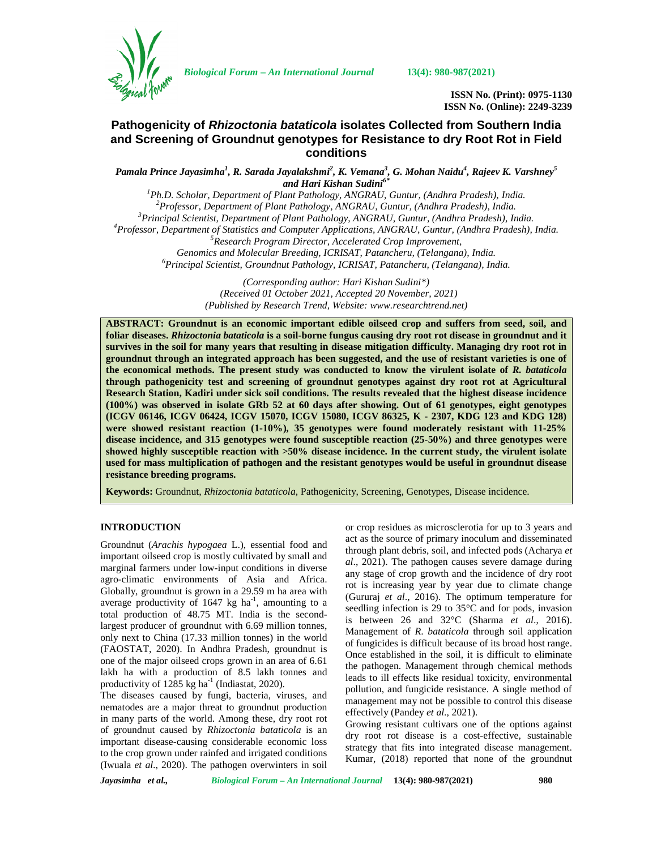

*Biological Forum – An International Journal* **13(4): 980-987(2021)**

**ISSN No. (Print): 0975-1130 ISSN No. (Online): 2249-3239**

# **Pathogenicity of** *Rhizoctonia bataticola* **isolates Collected from Southern India and Screening of Groundnut genotypes for Resistance to dry Root Rot in Field conditions**

*Pamala Prince Jayasimha<sup>1</sup> , R. Sarada Jayalakshmi<sup>2</sup> , K. Vemana<sup>3</sup> , G. Mohan Naidu<sup>4</sup> , Rajeev K. Varshney<sup>5</sup>* and Hari Kishan Sudini<sup>6\*</sup><br><sup>1</sup>Ph.D. Scholar, Department of Plant Pathology, ANGRAU, Guntur, (Andhra Pradesh), India.

<sup>2</sup> Professor, Department of Plant Pathology, ANGRAU, Guntur, (Andhra Pradesh), India.<br><sup>3</sup> Principal Scientist, Department of Plant Pathology, ANGRAU, Guntur, (Andhra Pradesh), India.<br><sup>4</sup> Professor, Department of Statisti *Genomics and Molecular Breeding, ICRISAT, Patancheru, (Telangana), India. <sup>6</sup>Principal Scientist, Groundnut Pathology, ICRISAT, Patancheru, (Telangana), India.*

*(Corresponding author: Hari Kishan Sudini\*) (Received 01 October 2021, Accepted 20 November, 2021) (Published by Research Trend, Website: [www.researchtrend.net\)](www.researchtrend.net)*

**ABSTRACT: Groundnut is an economic important edible oilseed crop and suffers from seed, soil, and foliar diseases.** *Rhizoctonia bataticola* **is a soil-borne fungus causing dry root rot disease in groundnut and it survives in the soil for many years that resulting in disease mitigation difficulty. Managing dry root rot in groundnut through an integrated approach has been suggested, and the use of resistant varieties is one of the economical methods. The present study was conducted to know the virulent isolate of** *R. bataticola* **through pathogenicity test and screening of groundnut genotypes against dry root rot at Agricultural Research Station, Kadiri under sick soil conditions. The results revealed that the highest disease incidence (100%) was observed in isolate GRb 52 at 60 days after showing. Out of 61 genotypes, eight genotypes (ICGV 06146, ICGV 06424, ICGV 15070, ICGV 15080, ICGV 86325, K - 2307, KDG 123 and KDG 128) were showed resistant reaction (1-10%)***,* **35 genotypes were found moderately resistant with 11-25% disease incidence, and 315 genotypes were found susceptible reaction (25-50%) and three genotypes were showed highly susceptible reaction with >50% disease incidence. In the current study, the virulent isolate used for mass multiplication of pathogen and the resistant genotypes would be useful in groundnut disease resistance breeding programs.**

**Keywords:** Groundnut, *Rhizoctonia bataticola*, Pathogenicity, Screening, Genotypes, Disease incidence.

# **INTRODUCTION**

Groundnut (*Arachis hypogaea* L.), essential food and important oilseed crop is mostly cultivated by small and marginal farmers under low-input conditions in diverse agro-climatic environments of Asia and Africa. Globally, groundnut is grown in a 29.59 m ha area with average productivity of 1647 kg ha<sup>-1</sup>, amounting to a total production of 48.75 MT. India is the secondlargest producer of groundnut with 6.69 million tonnes, only next to China (17.33 million tonnes) in the world (FAOSTAT, 2020). In Andhra Pradesh, groundnut is one of the major oilseed crops grown in an area of 6.61 lakh ha with a production of 8.5 lakh tonnes and productivity of  $1285$  kg ha<sup>-1</sup> (Indiastat, 2020).

The diseases caused by fungi, bacteria, viruses, and nematodes are a major threat to groundnut production in many parts of the world. Among these, dry root rot of groundnut caused by *Rhizoctonia bataticola* is an important disease-causing considerable economic loss to the crop grown under rainfed and irrigated conditions (Iwuala *et al*., 2020). The pathogen overwinters in soil or crop residues as microsclerotia for up to 3 years and act as the source of primary inoculum and disseminated through plant debris, soil, and infected pods (Acharya *et al*., 2021). The pathogen causes severe damage during any stage of crop growth and the incidence of dry root rot is increasing year by year due to climate change (Gururaj *et al*., 2016). The optimum temperature for seedling infection is 29 to 35°C and for pods, invasion is between 26 and 32°C (Sharma *et al*., 2016). Management of *R*. *bataticola* through soil application of fungicides is difficult because of its broad host range. Once established in the soil, it is difficult to eliminate the pathogen. Management through chemical methods leads to ill effects like residual toxicity, environmental pollution, and fungicide resistance. A single method of management may not be possible to control this disease effectively (Pandey *et al*., 2021).

Growing resistant cultivars one of the options against dry root rot disease is a cost-effective, sustainable strategy that fits into integrated disease management. Kumar, (2018) reported that none of the groundnut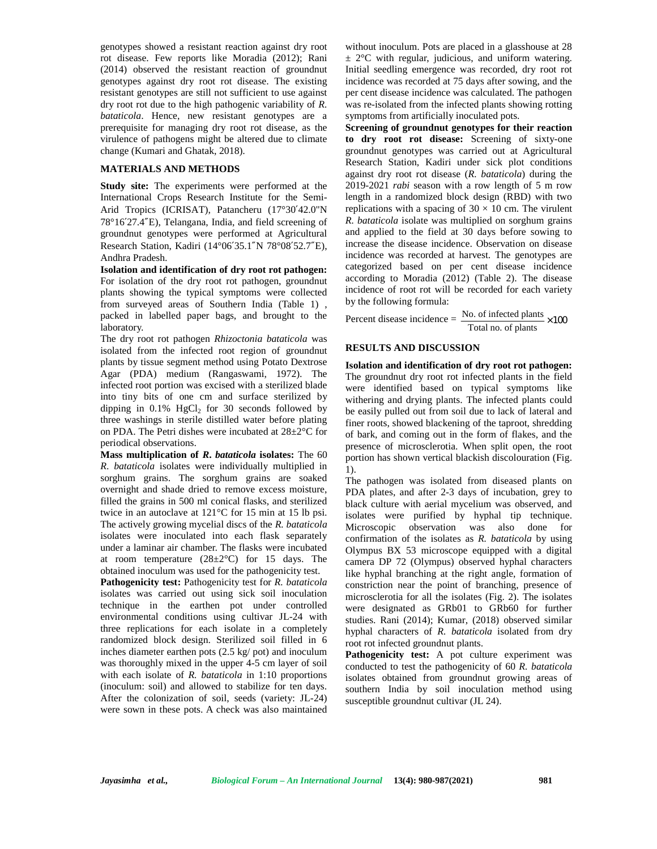genotypes showed a resistant reaction against dry root rot disease. Few reports like Moradia (2012); Rani (2014) observed the resistant reaction of groundnut genotypes against dry root rot disease. The existing resistant genotypes are still not sufficient to use against dry root rot due to the high pathogenic variability of *R. bataticola*. Hence, new resistant genotypes are a prerequisite for managing dry root rot disease, as the virulence of pathogens might be altered due to climate change (Kumari and Ghatak, 2018).

#### **MATERIALS AND METHODS**

**Study site:** The experiments were performed at the International Crops Research Institute for the Semi- Arid Tropics (ICRISAT), Patancheru (17°30′42.0"N 78°16′27.4″E), Telangana, India, and field screening of groundnut genotypes were performed at Agricultural Research Station, Kadiri (14°06′35.1″N 78°08′52.7″E), Andhra Pradesh.

**Isolation and identification of dry root rot pathogen:** For isolation of the dry root rot pathogen, groundnut plants showing the typical symptoms were collected from surveyed areas of Southern India (Table 1) , packed in labelled paper bags, and brought to the laboratory.

The dry root rot pathogen *Rhizoctonia bataticola* was isolated from the infected root region of groundnut plants by tissue segment method using Potato Dextrose Agar (PDA) medium (Rangaswami, 1972). The infected root portion was excised with a sterilized blade into tiny bits of one cm and surface sterilized by dipping in  $0.1\%$  HgCl<sub>2</sub> for 30 seconds followed by three washings in sterile distilled water before plating on PDA. The Petri dishes were incubated at 28±2°C for periodical observations.

**Mass multiplication of** *R***.** *bataticola* **isolates:** The 60 *R*. *bataticola* isolates were individually multiplied in sorghum grains. The sorghum grains are soaked overnight and shade dried to remove excess moisture, filled the grains in 500 ml conical flasks, and sterilized twice in an autoclave at 121°C for 15 min at 15 lb psi. The actively growing mycelial discs of the *R. bataticola* isolates were inoculated into each flask separately under a laminar air chamber. The flasks were incubated at room temperature  $(28\pm2^{\circ}\text{C})$  for 15 days. The obtained inoculum was used for the pathogenicity test.

**Pathogenicity test:** Pathogenicity test for *R. bataticola* isolates was carried out using sick soil inoculation technique in the earthen pot under controlled environmental conditions using cultivar JL-24 with three replications for each isolate in a completely randomized block design. Sterilized soil filled in 6 inches diameter earthen pots (2.5 kg/ pot) and inoculum was thoroughly mixed in the upper 4-5 cm layer of soil with each isolate of *R. bataticola* in 1:10 proportions (inoculum: soil) and allowed to stabilize for ten days. After the colonization of soil, seeds (variety: JL-24) were sown in these pots. A check was also maintained

without inoculum. Pots are placed in a glasshouse at 28  $\pm$  2°C with regular, judicious, and uniform watering. Initial seedling emergence was recorded, dry root rot incidence was recorded at 75 days after sowing, and the per cent disease incidence was calculated. The pathogen was re-isolated from the infected plants showing rotting symptoms from artificially inoculated pots.

**Screening of groundnut genotypes for their reaction to dry root rot disease:** Screening of sixty-one groundnut genotypes was carried out at Agricultural Research Station, Kadiri under sick plot conditions against dry root rot disease (*R. bataticola*) during the 2019-2021 *rabi* season with a row length of 5 m row length in a randomized block design (RBD) with two replications with a spacing of  $30 \times 10$  cm. The virulent *R. bataticola* isolate was multiplied on sorghum grains and applied to the field at 30 days before sowing to increase the disease incidence. Observation on disease incidence was recorded at harvest. The genotypes are categorized based on per cent disease incidence according to Moradia (2012) (Table 2). The disease incidence of root rot will be recorded for each variety by the following formula:

Percent disease incidence  $=$   $\frac{\text{No. of infected plants}}{\text{Total no. of plants}} \times 100$ 

#### **RESULTS AND DISCUSSION**

**Isolation and identification of dry root rot pathogen:** The groundnut dry root rot infected plants in the field were identified based on typical symptoms like withering and drying plants. The infected plants could be easily pulled out from soil due to lack of lateral and finer roots, showed blackening of the taproot, shredding of bark, and coming out in the form of flakes, and the presence of microsclerotia. When split open, the root portion has shown vertical blackish discolouration (Fig. 1).

The pathogen was isolated from diseased plants on PDA plates, and after 2-3 days of incubation, grey to black culture with aerial mycelium was observed, and isolates were purified by hyphal tip technique. Microscopic observation was also done for confirmation of the isolates as *R. bataticola* by using Olympus BX 53 microscope equipped with a digital camera DP 72 (Olympus) observed hyphal characters like hyphal branching at the right angle, formation of constriction near the point of branching, presence of microsclerotia for all the isolates (Fig. 2). The isolates were designated as GRb01 to GRb60 for further studies. Rani (2014); Kumar, (2018) observed similar hyphal characters of *R. bataticola* isolated from dry root rot infected groundnut plants.

**Pathogenicity test:** A pot culture experiment was conducted to test the pathogenicity of 60 *R. bataticola* isolates obtained from groundnut growing areas of southern India by soil inoculation method using susceptible groundnut cultivar (JL 24).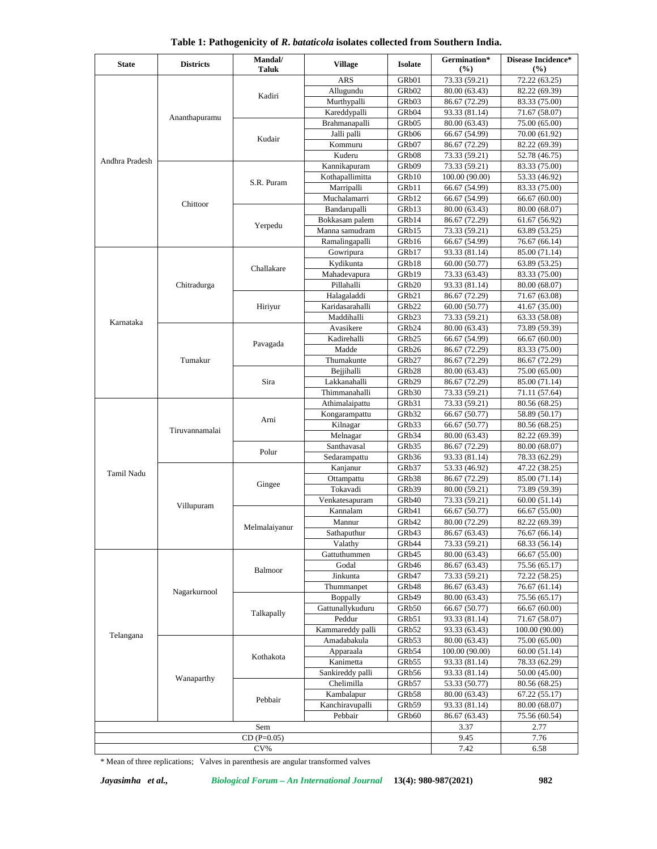| <b>State</b>   | <b>Districts</b> | Mandal/<br>Taluk | <b>Village</b>   | <b>Isolate</b>     | Germination*<br>$(\%)$ | Disease Incidence*<br>(%) |
|----------------|------------------|------------------|------------------|--------------------|------------------------|---------------------------|
|                |                  |                  | <b>ARS</b>       | GRb01              | 73.33 (59.21)          | 72.22 (63.25)             |
|                |                  |                  | Allugundu        | GRb <sub>02</sub>  | 80.00 (63.43)          | 82.22 (69.39)             |
|                |                  | Kadiri           | Murthypalli      | GRb03              | 86.67 (72.29)          | 83.33 (75.00)             |
|                |                  |                  | Kareddypalli     | GRb <sub>04</sub>  | 93.33 (81.14)          | 71.67 (58.07)             |
|                | Ananthapuramu    |                  | Brahmanapalli    | GRb <sub>05</sub>  | 80.00 (63.43)          | 75.00 (65.00)             |
|                |                  |                  | Jalli palli      | GRb <sub>06</sub>  | 66.67 (54.99)          | 70.00 (61.92)             |
|                |                  | Kudair           | Kommuru          | GRb07              | 86.67(72.29)           | 82.22 (69.39)             |
|                |                  |                  | Kuderu           | GR <sub>b</sub> 08 | 73.33 (59.21)          | 52.78 (46.75)             |
| Andhra Pradesh |                  |                  | Kannikapuram     | GRb09              | 73.33 (59.21)          | 83.33 (75.00)             |
|                |                  |                  | Kothapallimitta  | GRb10              | 100.00 (90.00)         | 53.33 (46.92)             |
|                |                  | S.R. Puram       | Marripalli       | GRb11              | 66.67 (54.99)          | 83.33 (75.00)             |
|                | Chittoor         |                  | Muchalamarri     | GRb12              | 66.67 (54.99)          | 66.67 (60.00)             |
|                |                  |                  | Bandarupalli     | GRb13              | 80.00 (63.43)          | 80.00 (68.07)             |
|                |                  |                  | Bokkasam palem   | GRb14              | 86.67 (72.29)          | 61.67 (56.92)             |
|                |                  | Yerpedu          | Manna samudram   | GRb15              | 73.33 (59.21)          | 63.89 (53.25)             |
|                |                  |                  | Ramalingapalli   | GRb16              | 66.67 (54.99)          | 76.67 (66.14)             |
|                |                  |                  | Gowripura        | GRb17              | 93.33 (81.14)          | 85.00 (71.14)             |
|                |                  | Challakare       | Kydikunta        | GRb18              | 60.00 (50.77)          | 63.89 (53.25)             |
|                |                  |                  | Mahadevapura     | GRb19              | 73.33 (63.43)          | 83.33 (75.00)             |
|                | Chitradurga      |                  | Pillahalli       | GRb20              | 93.33 (81.14)          | 80.00 (68.07)             |
|                |                  |                  | Halagaladdi      | GRb21              | 86.67 (72.29)          | 71.67 (63.08)             |
|                |                  | Hiriyur          | Karidasarahalli  | GRb22              | 60.00 (50.77)          | 41.67 (35.00)             |
|                |                  |                  | Maddihalli       | GRb23              | 73.33 (59.21)          | 63.33 (58.08)             |
| Karnataka      |                  |                  | Avasikere        | GRb24              | 80.00 (63.43)          | 73.89 (59.39)             |
|                | Tumakur          |                  | Kadirehalli      | GRb25              | 66.67 (54.99)          | 66.67 (60.00)             |
|                |                  | Pavagada         | Madde            | GRb26              | 86.67 (72.29)          | 83.33 (75.00)             |
|                |                  |                  | Thumakunte       | GRb27              | 86.67 (72.29)          | 86.67 (72.29)             |
|                |                  |                  | Bejjihalli       | GRb28              | 80.00 (63.43)          | 75.00 (65.00)             |
|                |                  | Sira             | Lakkanahalli     | GRb29              | 86.67 (72.29)          | 85.00 (71.14)             |
|                |                  |                  | Thimmanahalli    | GRb30              | 73.33 (59.21)          | 71.11 (57.64)             |
|                |                  |                  | Athimalaipattu   | GRb31              | 73.33 (59.21)          | 80.56 (68.25)             |
|                |                  |                  | Kongarampattu    | GRb32              | 66.67 (50.77)          | 58.89 (50.17)             |
|                | Tiruvannamalai   | Arni             | Kilnagar         | GRb33              | 66.67 (50.77)          | 80.56 (68.25)             |
|                |                  |                  | Melnagar         | GRb34              | 80.00 (63.43)          | 82.22 (69.39)             |
|                |                  |                  | Santhavasal      | GRb35              | 86.67 (72.29)          | 80.00 (68.07)             |
|                |                  | Polur            | Sedarampattu     | GRb36              | 93.33 (81.14)          | 78.33 (62.29)             |
|                |                  |                  | Kanjanur         | GRb37              | 53.33 (46.92)          | 47.22 (38.25)             |
| Tamil Nadu     |                  | Gingee           | Ottampattu       | GRb38              | 86.67 (72.29)          | 85.00 (71.14)             |
|                |                  |                  | Tokavadi         | GRb39              | 80.00 (59.21)          | 73.89 (59.39)             |
|                | Villupuram       |                  | Venkatesapuram   | GRb40              | 73.33 (59.21)          | 60.00 (51.14)             |
|                |                  |                  | Kannalam         | GRb41              | 66.67 (50.77)          | 66.67 (55.00)             |
|                |                  | Melmalaiyanur    | Mannur           | GRb42              | 80.00 (72.29)          | 82.22 (69.39)             |
|                |                  |                  | Sathaputhur      | GRb43              | 86.67 (63.43)          | 76.67(66.14)              |
|                |                  |                  | Valathy          | GRb44              | 73.33 (59.21)          | 68.33 (56.14)             |
|                |                  |                  | Gattuthummen     | GRb45              | 80.00 (63.43)          | 66.67 (55.00)             |
|                |                  | Balmoor          | Godal            | GRb46              | 86.67 (63.43)          | 75.56 (65.17)             |
|                |                  |                  | Jinkunta         | GRb47              | 73.33 (59.21)          | 72.22 (58.25)             |
|                |                  |                  | Thummanpet       | GRb48              | 86.67 (63.43)          | 76.67 (61.14)             |
|                | Nagarkurnool     |                  | Boppally         | GRb49              | 80.00 (63.43)          | 75.56 (65.17)             |
| Telangana      |                  |                  | Gattunallykuduru | GRb50              | 66.67 (50.77)          | 66.67 (60.00)             |
|                |                  | Talkapally       | Peddur           | GRb51              | 93.33 (81.14)          | 71.67 (58.07)             |
|                |                  |                  | Kammareddy palli | GRb52              | 93.33 (63.43)          | 100.00 (90.00)            |
|                |                  |                  | Amadabakula      | GRb53              | 80.00 (63.43)          | 75.00 (65.00)             |
|                |                  |                  | Apparaala        | GRb54              | 100.00 (90.00)         | 60.00 (51.14)             |
|                |                  | Kothakota        | Kanimetta        | GRb55              | 93.33 (81.14)          | 78.33 (62.29)             |
|                |                  |                  | Sankireddy palli | GRb56              | 93.33 (81.14)          | 50.00 (45.00)             |
|                | Wanaparthy       |                  | Chelimilla       | GRb57              | 53.33 (50.77)          | 80.56 (68.25)             |
|                |                  |                  | Kambalapur       | GRb58              | 80.00 (63.43)          | 67.22 (55.17)             |
|                |                  | Pebbair          | Kanchiravupalli  | GRb59              | 93.33 (81.14)          | 80.00 (68.07)             |
|                |                  |                  | Pebbair          | GRb60              | 86.67(63.43)           | 75.56 (60.54)             |
|                |                  | Sem              |                  |                    | 3.37                   | 2.77                      |
|                |                  |                  |                  |                    | 9.45                   | 7.76                      |
|                | $CD(P=0.05)$     |                  |                  |                    |                        | 6.58                      |
|                |                  | $CV\%$           |                  |                    | 7.42                   |                           |

**Table 1: Pathogenicity of** *R***.** *bataticola* **isolates collected from Southern India.**

\* Mean of three replications; Valves in parenthesis are angular transformed valves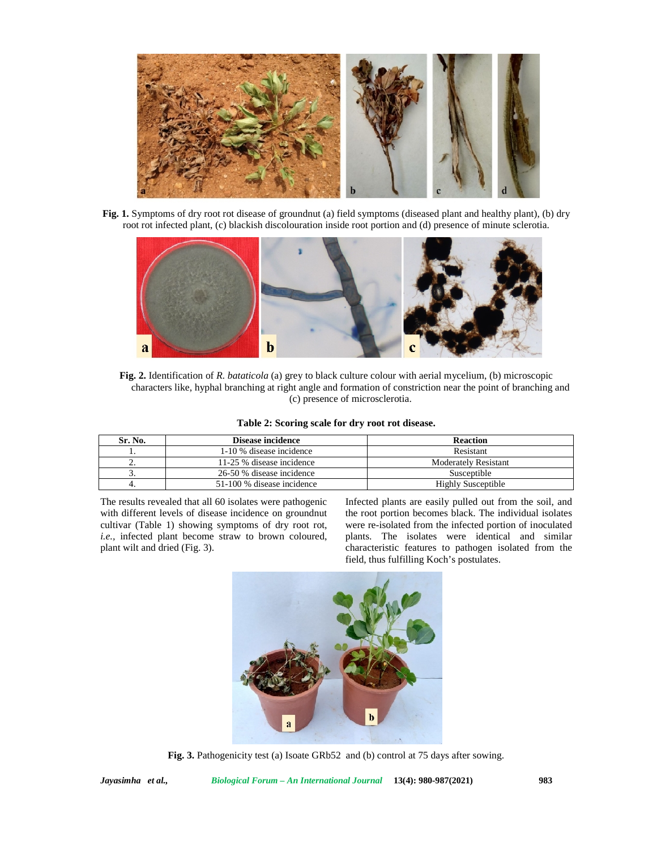

**Fig. 1.** Symptoms of dry root rot disease of groundnut (a) field symptoms (diseased plant and healthy plant), (b) dry root rot infected plant, (c) blackish discolouration inside root portion and (d) presence of minute sclerotia.



**Fig. 2.** Identification of *R. bataticola* (a) grey to black culture colour with aerial mycelium, (b) microscopic characters like, hyphal branching at right angle and formation of constriction near the point of branching and (c) presence of microsclerotia.

|  |  |  |  | Table 2: Scoring scale for dry root rot disease. |  |
|--|--|--|--|--------------------------------------------------|--|
|  |  |  |  |                                                  |  |

| Sr. No.  | Disease incidence          | <b>Reaction</b>      |
|----------|----------------------------|----------------------|
|          | 1-10 % disease incidence   | Resistant            |
| <u>.</u> | 11-25 % disease incidence  | Moderately Resistant |
|          | 26-50 % disease incidence  | Susceptible          |
|          | 51-100 % disease incidence | Highly Susceptible   |

The results revealed that all 60 isolates were pathogenic with different levels of disease incidence on groundnut cultivar (Table 1) showing symptoms of dry root rot, *i.e.,* infected plant become straw to brown coloured, plant wilt and dried (Fig. 3).

Infected plants are easily pulled out from the soil, and the root portion becomes black. The individual isolates were re-isolated from the infected portion of inoculated plants. The isolates were identical and similar characteristic features to pathogen isolated from the field, thus fulfilling Koch's postulates.



**Fig. 3.** Pathogenicity test (a) Isoate GRb52 and (b) control at 75 days after sowing.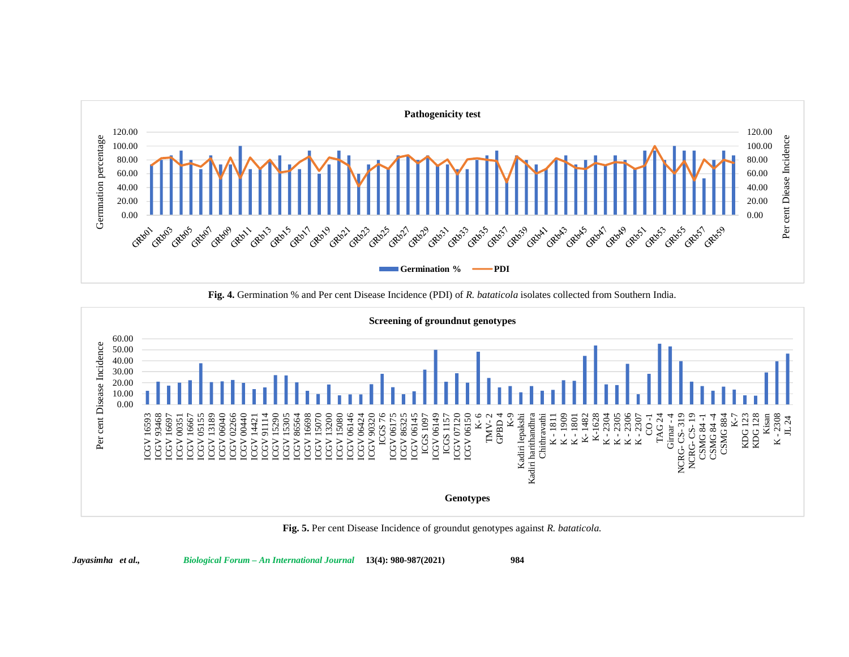

**Fig. 4.** Germination % and Per cent Disease Incidence (PDI) of *R. bataticola* isolates collected from Southern India.



**Fig. 5.** Per cent Disease Incidence of groundut genotypes against *R. bataticola.*

*Jayasimha et al., Biological Forum – An International Journal* **13(4): 980-987(2021) 984**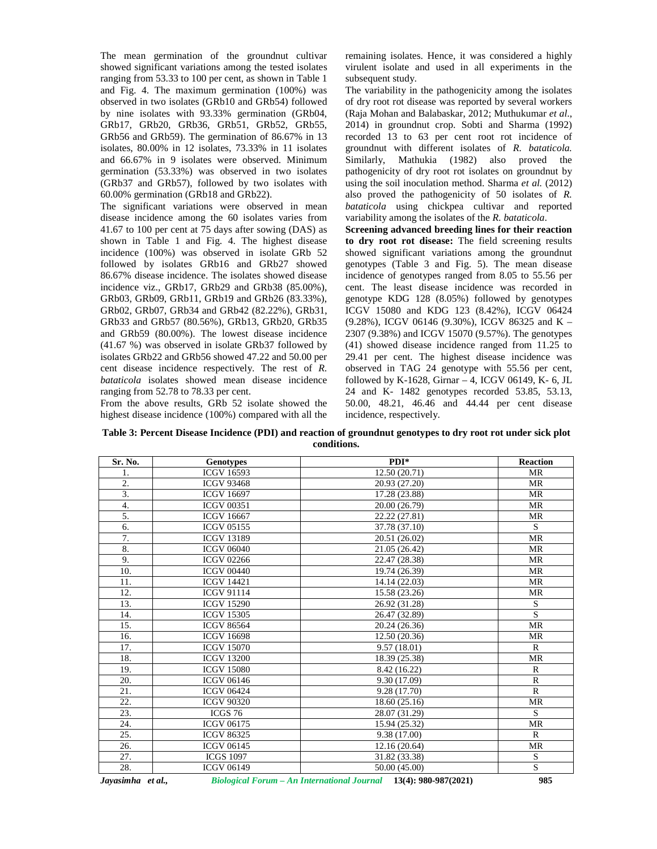The mean germination of the groundnut cultivar showed significant variations among the tested isolates ranging from 53.33 to 100 per cent, as shown in Table 1 and Fig. 4. The maximum germination (100%) was observed in two isolates (GRb10 and GRb54) followed by nine isolates with 93.33% germination (GRb04, GRb17, GRb20, GRb36, GRb51, GRb52, GRb55, GRb56 and GRb59). The germination of 86.67% in 13 isolates, 80.00% in 12 isolates, 73.33% in 11 isolates and 66.67% in 9 isolates were observed. Minimum germination (53.33%) was observed in two isolates (GRb37 and GRb57), followed by two isolates with 60.00% germination (GRb18 and GRb22).

The significant variations were observed in mean disease incidence among the 60 isolates varies from 41.67 to 100 per cent at 75 days after sowing (DAS) as shown in Table 1 and Fig. 4. The highest disease incidence (100%) was observed in isolate GRb 52 followed by isolates GRb16 and GRb27 showed 86.67% disease incidence. The isolates showed disease incidence viz., GRb17, GRb29 and GRb38 (85.00%), GRb03, GRb09, GRb11, GRb19 and GRb26 (83.33%), GRb02, GRb07, GRb34 and GRb42 (82.22%), GRb31, GRb33 and GRb57 (80.56%), GRb13, GRb20, GRb35 and GRb59 (80.00%). The lowest disease incidence (41.67 %) was observed in isolate GRb37 followed by isolates GRb22 and GRb56 showed 47.22 and 50.00 per cent disease incidence respectively. The rest of *R. bataticola* isolates showed mean disease incidence ranging from 52.78 to 78.33 per cent.

From the above results, GRb 52 isolate showed the highest disease incidence (100%) compared with all the

remaining isolates. Hence, it was considered a highly virulent isolate and used in all experiments in the subsequent study.

The variability in the pathogenicity among the isolates of dry root rot disease was reported by several workers (Raja Mohan and Balabaskar, 2012; Muthukumar *et al*., 2014) in groundnut crop. Sobti and Sharma (1992) recorded 13 to 63 per cent root rot incidence of groundnut with different isolates of *R. bataticola.* Similarly, Mathukia (1982) also proved the pathogenicity of dry root rot isolates on groundnut by using the soil inoculation method. Sharma *et al.* (2012) also proved the pathogenicity of 50 isolates of *R. bataticola* using chickpea cultivar and reported variability among the isolates of the *R. bataticola*.

**Screening advanced breeding lines for their reaction to dry root rot disease:** The field screening results showed significant variations among the groundnut genotypes (Table 3 and Fig. 5). The mean disease incidence of genotypes ranged from 8.05 to 55.56 per cent. The least disease incidence was recorded in genotype KDG 128 (8.05%) followed by genotypes ICGV 15080 and KDG 123 (8.42%), ICGV 06424 (9.28%), ICGV 06146 (9.30%), ICGV 86325 and K – 2307 (9.38%) and ICGV 15070 (9.57%). The genotypes (41) showed disease incidence ranged from 11.25 to 29.41 per cent. The highest disease incidence was observed in TAG 24 genotype with 55.56 per cent, followed by K-1628, Girnar – 4, ICGV 06149, K- 6, JL 24 and K- 1482 genotypes recorded 53.85, 53.13, 50.00, 48.21, 46.46 and 44.44 per cent disease incidence, respectively.

**Table 3: Percent Disease Incidence (PDI) and reaction of groundnut genotypes to dry root rot under sick plot conditions.**

| Sr. No. | <b>Genotypes</b>  | $PDI*$        | <b>Reaction</b> |
|---------|-------------------|---------------|-----------------|
| 1.      | <b>ICGV 16593</b> | 12.50(20.71)  | MR              |
| 2.      | <b>ICGV 93468</b> | 20.93 (27.20) | <b>MR</b>       |
| 3.      | <b>ICGV 16697</b> | 17.28 (23.88) | <b>MR</b>       |
| 4.      | <b>ICGV 00351</b> | 20.00 (26.79) | <b>MR</b>       |
| 5.      | <b>ICGV 16667</b> | 22.22 (27.81) | <b>MR</b>       |
| 6.      | <b>ICGV 05155</b> | 37.78 (37.10) | S               |
| 7.      | <b>ICGV 13189</b> | 20.51 (26.02) | <b>MR</b>       |
| 8.      | <b>ICGV 06040</b> | 21.05 (26.42) | <b>MR</b>       |
| 9.      | <b>ICGV 02266</b> | 22.47 (28.38) | MR              |
| 10.     | <b>ICGV 00440</b> | 19.74 (26.39) | MR              |
| 11.     | <b>ICGV 14421</b> | 14.14 (22.03) | <b>MR</b>       |
| 12.     | <b>ICGV 91114</b> | 15.58 (23.26) | MR              |
| 13.     | <b>ICGV 15290</b> | 26.92 (31.28) | ${\bf S}$       |
| 14.     | <b>ICGV 15305</b> | 26.47 (32.89) | $\overline{S}$  |
| 15.     | <b>ICGV 86564</b> | 20.24 (26.36) | <b>MR</b>       |
| 16.     | <b>ICGV 16698</b> | 12.50 (20.36) | <b>MR</b>       |
| 17.     | <b>ICGV 15070</b> | 9.57(18.01)   | $\mathbb{R}$    |
| 18.     | <b>ICGV 13200</b> | 18.39 (25.38) | <b>MR</b>       |
| 19.     | <b>ICGV 15080</b> | 8.42 (16.22)  | $\mathbb{R}$    |
| 20.     | <b>ICGV 06146</b> | 9.30 (17.09)  | $\mathbb{R}$    |
| 21.     | <b>ICGV 06424</b> | 9.28 (17.70)  | $\mathbb{R}$    |
| 22.     | <b>ICGV 90320</b> | 18.60 (25.16) | <b>MR</b>       |
| 23.     | ICGS 76           | 28.07 (31.29) | S               |
| 24.     | <b>ICGV 06175</b> | 15.94 (25.32) | <b>MR</b>       |
| 25.     | <b>ICGV 86325</b> | 9.38 (17.00)  | $\mathbb{R}$    |
| 26.     | <b>ICGV 06145</b> | 12.16(20.64)  | <b>MR</b>       |
| 27.     | <b>ICGS 1097</b>  | 31.82 (33.38) | S               |
| 28.     | <b>ICGV 06149</b> | 50.00 (45.00) | $\mathbf S$     |

*Jayasimha et al., Biological Forum – An International Journal* **13(4): 980-987(2021) 985**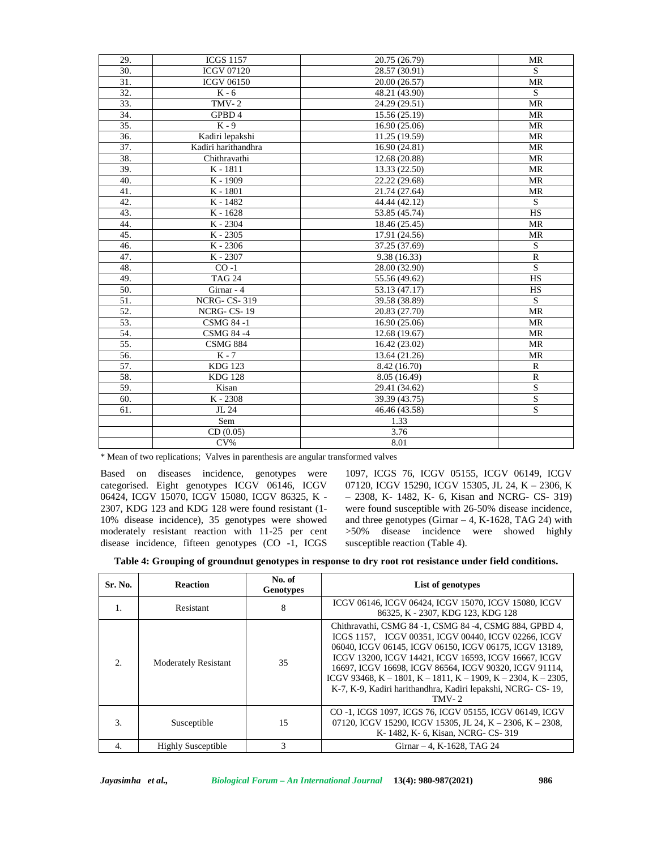| 29.               | <b>ICGS 1157</b>    | 20.75 (26.79)              | <b>MR</b>      |
|-------------------|---------------------|----------------------------|----------------|
| 30.               | <b>ICGV 07120</b>   | 28.57 (30.91)              | S              |
| 31.               | <b>ICGV 06150</b>   | 20.00 (26.57)              | <b>MR</b>      |
| 32.               | $K - 6$             | 48.21 (43.90)              | S              |
| $\overline{33}$ . | $TMV-2$             | 24.29 (29.51)              | <b>MR</b>      |
| 34.               | GPBD 4              | 15.56 (25.19)              | <b>MR</b>      |
| 35.               | $K - 9$             | 16.90 (25.06)              | <b>MR</b>      |
| 36.               | Kadiri lepakshi     | 11.25 (19.59)              | <b>MR</b>      |
| 37.               | Kadiri harithandhra | 16.90 (24.81)              | <b>MR</b>      |
| 38.               | Chithravathi        | 12.68 (20.88)              | <b>MR</b>      |
| 39.               | K-1811              | 13.33 (22.50)              | <b>MR</b>      |
| 40.               | K - 1909            | 22.22 (29.68)              | MR             |
| 41.               | K-1801              | 21.74 (27.64)              | <b>MR</b>      |
| 42.               | K-1482              | 44.44 (42.12)              | S              |
| 43.               | K - 1628            | 53.85 (45.74)              | <b>HS</b>      |
| 44.               | K-2304              | 18.46 (25.45)              | <b>MR</b>      |
| 45.               | K-2305              | 17.91 (24.56)              | MR             |
| 46.               | K-2306              | 37.25 (37.69)              | S              |
| 47.               | K - 2307            | 9.38(16.33)                | $\mathbb{R}$   |
| 48.               | $CO -1$             | 28.00 (32.90)              | S              |
| 49.               | <b>TAG 24</b>       | 55.56 (49.62)              | <b>HS</b>      |
| 50.               | Girnar - 4          | 53.13 (47.17)              | <b>HS</b>      |
| 51.               | <b>NCRG-CS-319</b>  | 39.58 (38.89)              | <sub>S</sub>   |
| 52.               | NCRG-CS-19          | 20.83 (27.70)              | <b>MR</b>      |
| 53.               | <b>CSMG 84 -1</b>   | 16.90 (25.06)              | <b>MR</b>      |
| 54.               | <b>CSMG 84 -4</b>   | 12.68 (19.67)              | <b>MR</b>      |
| 55.               | <b>CSMG 884</b>     | 16.42 (23.02)              | <b>MR</b>      |
| 56.               | $\overline{K}$ - 7  | 13.64 (21.26)              | <b>MR</b>      |
| 57.               | <b>KDG 123</b>      | 8.42 (16.70)               | $\mathbb{R}$   |
| 58.               | <b>KDG 128</b>      | 8.05 (16.49)               | ${\bf R}$      |
| 59.               | Kisan               | 29.41 (34.62)              | $\overline{S}$ |
| 60.               | $K - 2308$          | 39.39 (43.75)              | $\mathbf S$    |
| 61.               | JL 24               | $\overline{46.46}$ (43.58) | $\mathbf S$    |
|                   | Sem                 | 1.33                       |                |
|                   | CD(0.05)            | 3.76                       |                |
|                   | $CV\%$              | 8.01                       |                |
|                   |                     |                            |                |

\* Mean of two replications; Valves in parenthesis are angular transformed valves

Based on diseases incidence, genotypes were categorised. Eight genotypes ICGV 06146, ICGV 06424, ICGV 15070, ICGV 15080, ICGV 86325, K - 2307, KDG 123 and KDG 128 were found resistant (1- 10% disease incidence), 35 genotypes were showed moderately resistant reaction with 11-25 per cent disease incidence, fifteen genotypes (CO -1, ICGS 1097, ICGS 76, ICGV 05155, ICGV 06149, ICGV 07120, ICGV 15290, ICGV 15305, JL 24, K – 2306, K – 2308, K- 1482, K- 6, Kisan and NCRG- CS- 319) were found susceptible with 26-50% disease incidence, and three genotypes (Girnar  $-4$ , K-1628, TAG 24) with >50% disease incidence were showed highly susceptible reaction (Table 4).

|  |  | Table 4: Grouping of groundnut genotypes in response to dry root rot resistance under field conditions. |
|--|--|---------------------------------------------------------------------------------------------------------|
|  |  |                                                                                                         |

| Sr. No.                | <b>Reaction</b>             | No. of<br><b>Genotypes</b> | List of genotypes                                                                                                                                                                                                                                                                                                                                                                                                                      |
|------------------------|-----------------------------|----------------------------|----------------------------------------------------------------------------------------------------------------------------------------------------------------------------------------------------------------------------------------------------------------------------------------------------------------------------------------------------------------------------------------------------------------------------------------|
| $\mathbf{1}$ .         | Resistant                   | 8                          | ICGV 06146, ICGV 06424, ICGV 15070, ICGV 15080, ICGV<br>86325, K - 2307, KDG 123, KDG 128                                                                                                                                                                                                                                                                                                                                              |
| $\mathcal{D}_{\alpha}$ | <b>Moderately Resistant</b> | 35                         | Chithravathi, CSMG 84 -1, CSMG 84 -4, CSMG 884, GPBD 4,<br>ICGS 1157, ICGV 00351, ICGV 00440, ICGV 02266, ICGV<br>06040, ICGV 06145, ICGV 06150, ICGV 06175, ICGV 13189.<br>ICGV 13200, ICGV 14421, ICGV 16593, ICGV 16667, ICGV<br>16697, ICGV 16698, ICGV 86564, ICGV 90320, ICGV 91114,<br>ICGV 93468, K – 1801, K – 1811, K – 1909, K – 2304, K – 2305,<br>K-7, K-9, Kadiri harithandhra, Kadiri lepakshi, NCRG- CS-19,<br>$TMV-2$ |
| 3.                     | Susceptible                 | 15                         | CO -1, ICGS 1097, ICGS 76, ICGV 05155, ICGV 06149, ICGV<br>07120, ICGV 15290, ICGV 15305, JL 24, K – 2306, K – 2308,<br>K-1482, K-6, Kisan, NCRG-CS-319                                                                                                                                                                                                                                                                                |
| 4.                     | <b>Highly Susceptible</b>   | 3                          | Girnar - 4, K-1628, TAG 24                                                                                                                                                                                                                                                                                                                                                                                                             |